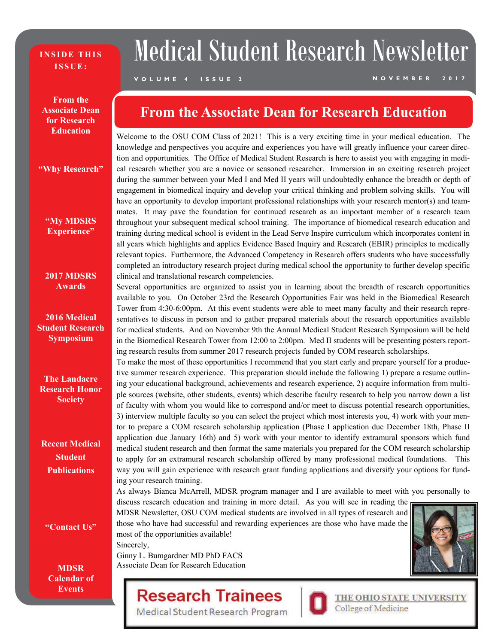#### **INSIDE THIS ISSUE:**

# Medical Student Research Newsletter

### **VOLUME 4 ISSUE 2 NOVEMBER 2017**

**From the Associate Dean for Research Education** 

#### **"Why Research"**

**"My MDSRS Experience"** 

#### **2017 MDSRS Awards**

**2016 Medical Student Research Symposium** 

**The Landacre Research Honor Society** 

**Recent Medical Student Publications** 

**"Contact Us"** 

**MDSR Calendar of Events** 

### **From the Associate Dean for Research Education**

Welcome to the OSU COM Class of 2021! This is a very exciting time in your medical education. The knowledge and perspectives you acquire and experiences you have will greatly influence your career direction and opportunities. The Office of Medical Student Research is here to assist you with engaging in medical research whether you are a novice or seasoned researcher. Immersion in an exciting research project during the summer between your Med I and Med II years will undoubtedly enhance the breadth or depth of engagement in biomedical inquiry and develop your critical thinking and problem solving skills. You will have an opportunity to develop important professional relationships with your research mentor(s) and teammates. It may pave the foundation for continued research as an important member of a research team throughout your subsequent medical school training. The importance of biomedical research education and training during medical school is evident in the Lead Serve Inspire curriculum which incorporates content in all years which highlights and applies Evidence Based Inquiry and Research (EBIR) principles to medically relevant topics. Furthermore, the Advanced Competency in Research offers students who have successfully completed an introductory research project during medical school the opportunity to further develop specific clinical and translational research competencies.

Several opportunities are organized to assist you in learning about the breadth of research opportunities available to you. On October 23rd the Research Opportunities Fair was held in the Biomedical Research Tower from 4:30-6:00pm. At this event students were able to meet many faculty and their research representatives to discuss in person and to gather prepared materials about the research opportunities available for medical students. And on November 9th the Annual Medical Student Research Symposium will be held in the Biomedical Research Tower from 12:00 to 2:00pm. Med II students will be presenting posters reporting research results from summer 2017 research projects funded by COM research scholarships.

To make the most of these opportunities I recommend that you start early and prepare yourself for a productive summer research experience. This preparation should include the following 1) prepare a resume outlining your educational background, achievements and research experience, 2) acquire information from multiple sources (website, other students, events) which describe faculty research to help you narrow down a list of faculty with whom you would like to correspond and/or meet to discuss potential research opportunities, 3) interview multiple faculty so you can select the project which most interests you, 4) work with your mentor to prepare a COM research scholarship application (Phase I application due December 18th, Phase II application due January 16th) and 5) work with your mentor to identify extramural sponsors which fund medical student research and then format the same materials you prepared for the COM research scholarship to apply for an extramural research scholarship offered by many professional medical foundations. This way you will gain experience with research grant funding applications and diversify your options for funding your research training.

As always Bianca McArrell, MDSR program manager and I are available to meet with you personally to

discuss research education and training in more detail. As you will see in reading the MDSR Newsletter, OSU COM medical students are involved in all types of research and those who have had successful and rewarding experiences are those who have made the most of the opportunities available!

Sincerely, Ginny L. Bumgardner MD PhD FACS Associate Dean for Research Education



# **Research Trainees**

Medical Student Research Program



THE OHIO STATE UNIVERSITY<br>College of Medicine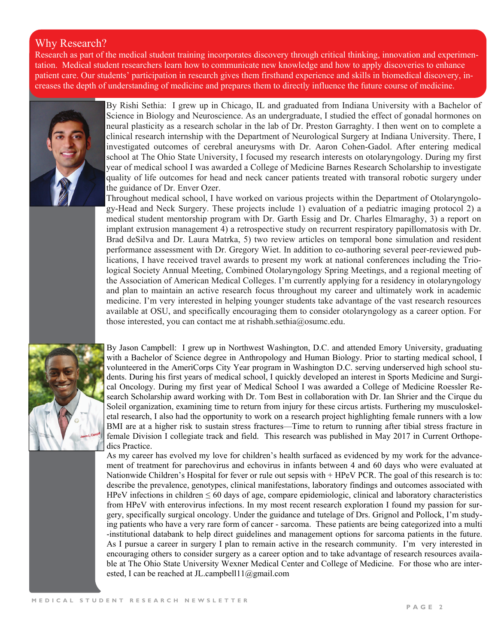### Why Research?

Research as part of the medical student training incorporates discovery through critical thinking, innovation and experimentation. Medical student researchers learn how to communicate new knowledge and how to apply discoveries to enhance patient care. Our students' participation in research gives them firsthand experience and skills in biomedical discovery, increases the depth of understanding of medicine and prepares them to directly influence the future course of medicine.



By Rishi Sethia: I grew up in Chicago, IL and graduated from Indiana University with a Bachelor of Science in Biology and Neuroscience. As an undergraduate, I studied the effect of gonadal hormones on neural plasticity as a research scholar in the lab of Dr. Preston Garraghty. I then went on to complete a clinical research internship with the Department of Neurological Surgery at Indiana University. There, I investigated outcomes of cerebral aneurysms with Dr. Aaron Cohen-Gadol. After entering medical school at The Ohio State University, I focused my research interests on otolaryngology. During my first year of medical school I was awarded a College of Medicine Barnes Research Scholarship to investigate quality of life outcomes for head and neck cancer patients treated with transoral robotic surgery under the guidance of Dr. Enver Ozer.

Throughout medical school, I have worked on various projects within the Department of Otolaryngology-Head and Neck Surgery. These projects include 1) evaluation of a pediatric imaging protocol 2) a medical student mentorship program with Dr. Garth Essig and Dr. Charles Elmaraghy, 3) a report on implant extrusion management 4) a retrospective study on recurrent respiratory papillomatosis with Dr. Brad deSilva and Dr. Laura Matrka, 5) two review articles on temporal bone simulation and resident performance assessment with Dr. Gregory Wiet. In addition to co-authoring several peer-reviewed publications, I have received travel awards to present my work at national conferences including the Triological Society Annual Meeting, Combined Otolaryngology Spring Meetings, and a regional meeting of the Association of American Medical Colleges. I'm currently applying for a residency in otolaryngology and plan to maintain an active research focus throughout my career and ultimately work in academic medicine. I'm very interested in helping younger students take advantage of the vast research resources available at OSU, and specifically encouraging them to consider otolaryngology as a career option. For those interested, you can contact me at rishabh.sethia@osumc.edu.



By Jason Campbell: I grew up in Northwest Washington, D.C. and attended Emory University, graduating with a Bachelor of Science degree in Anthropology and Human Biology. Prior to starting medical school, I volunteered in the AmeriCorps City Year program in Washington D.C. serving underserved high school students. During his first years of medical school, I quickly developed an interest in Sports Medicine and Surgical Oncology. During my first year of Medical School I was awarded a College of Medicine Roessler Research Scholarship award working with Dr. Tom Best in collaboration with Dr. Ian Shrier and the Cirque du Soleil organization, examining time to return from injury for these circus artists. Furthering my musculoskeletal research, I also had the opportunity to work on a research project highlighting female runners with a low BMI are at a higher risk to sustain stress fractures—Time to return to running after tibial stress fracture in female Division I collegiate track and field. This research was published in May 2017 in Current Orthopedics Practice.

As my career has evolved my love for children's health surfaced as evidenced by my work for the advancement of treatment for parechovirus and echovirus in infants between 4 and 60 days who were evaluated at Nationwide Children's Hospital for fever or rule out sepsis with + HPeV PCR. The goal of this research is to: describe the prevalence, genotypes, clinical manifestations, laboratory findings and outcomes associated with HPeV infections in children  $\leq 60$  days of age, compare epidemiologic, clinical and laboratory characteristics from HPeV with enterovirus infections. In my most recent research exploration I found my passion for surgery, specifically surgical oncology. Under the guidance and tutelage of Drs. Grignol and Pollock, I'm studying patients who have a very rare form of cancer - sarcoma. These patients are being categorized into a multi -institutional databank to help direct guidelines and management options for sarcoma patients in the future. As I pursue a career in surgery I plan to remain active in the research community. I'm very interested in encouraging others to consider surgery as a career option and to take advantage of research resources available at The Ohio State University Wexner Medical Center and College of Medicine. For those who are interested, I can be reached at JL.campbell11@gmail.com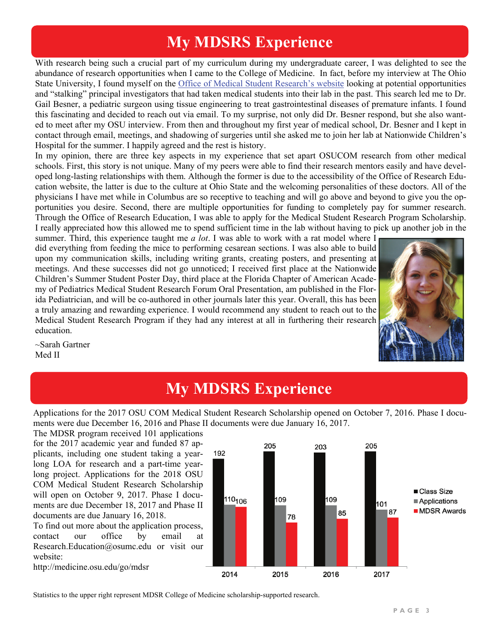# **My MDSRS Experience**

With research being such a crucial part of my curriculum during my undergraduate career, I was delighted to see the abundance of research opportunities when I came to the College of Medicine. In fact, before my interview at The Ohio State University, I found myself on the [Office of Medical Student Research's website](https://medicine.osu.edu/research_ed/medical_students/pages/index.aspx) looking at potential opportunities and "stalking" principal investigators that had taken medical students into their lab in the past. This search led me to Dr. Gail Besner, a pediatric surgeon using tissue engineering to treat gastrointestinal diseases of premature infants. I found this fascinating and decided to reach out via email. To my surprise, not only did Dr. Besner respond, but she also wanted to meet after my OSU interview. From then and throughout my first year of medical school, Dr. Besner and I kept in contact through email, meetings, and shadowing of surgeries until she asked me to join her lab at Nationwide Children's Hospital for the summer. I happily agreed and the rest is history.

In my opinion, there are three key aspects in my experience that set apart OSUCOM research from other medical schools. First, this story is not unique. Many of my peers were able to find their research mentors easily and have developed long-lasting relationships with them. Although the former is due to the accessibility of the Office of Research Education website, the latter is due to the culture at Ohio State and the welcoming personalities of these doctors. All of the physicians I have met while in Columbus are so receptive to teaching and will go above and beyond to give you the opportunities you desire. Second, there are multiple opportunities for funding to completely pay for summer research. Through the Office of Research Education, I was able to apply for the Medical Student Research Program Scholarship. I really appreciated how this allowed me to spend sufficient time in the lab without having to pick up another job in the

summer. Third, this experience taught me *a lot*. I was able to work with a rat model where I did everything from feeding the mice to performing cesarean sections. I was also able to build upon my communication skills, including writing grants, creating posters, and presenting at meetings. And these successes did not go unnoticed; I received first place at the Nationwide Children's Summer Student Poster Day, third place at the Florida Chapter of American Academy of Pediatrics Medical Student Research Forum Oral Presentation, am published in the Florida Pediatrician, and will be co-authored in other journals later this year. Overall, this has been a truly amazing and rewarding experience. I would recommend any student to reach out to the Medical Student Research Program if they had any interest at all in furthering their research education.



#### ~Sarah Gartner Med II

### **My MDSRS Experience**

Applications for the 2017 OSU COM Medical Student Research Scholarship opened on October 7, 2016. Phase I documents were due December 16, 2016 and Phase II documents were due January 16, 2017.

The MDSR program received 101 applications for the 2017 academic year and funded 87 applicants, including one student taking a yearlong LOA for research and a part-time yearlong project. Applications for the 2018 OSU COM Medical Student Research Scholarship will open on October 9, 2017. Phase I documents are due December 18, 2017 and Phase II documents are due January 16, 2018.

To find out more about the application process, contact our office by email at Research.Education@osumc.edu or visit our website:

http://medicine.osu.edu/go/mdsr



Statistics to the upper right represent MDSR College of Medicine scholarship-supported research.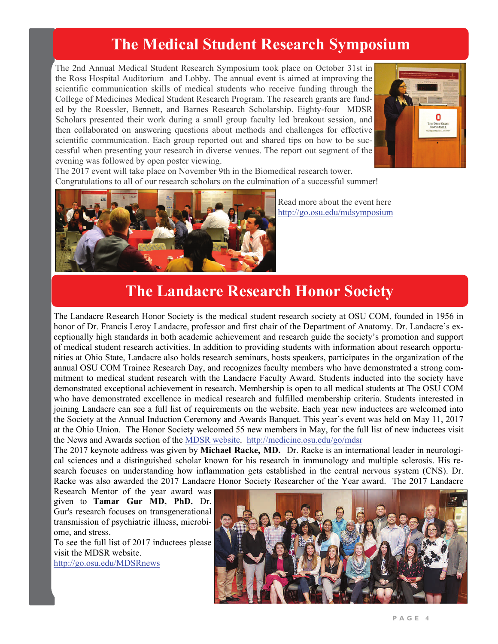# **The Medical Student Research Symposium**

The 2nd Annual Medical Student Research Symposium took place on October 31st in the Ross Hospital Auditorium and Lobby. The annual event is aimed at improving the scientific communication skills of medical students who receive funding through the College of Medicines Medical Student Research Program. The research grants are funded by the Roessler, Bennett, and Barnes Research Scholarship. Eighty-four MDSR Scholars presented their work during a small group faculty led breakout session, and then collaborated on answering questions about methods and challenges for effective scientific communication. Each group reported out and shared tips on how to be successful when presenting your research in diverse venues. The report out segment of the evening was followed by open poster viewing.



The 2017 event will take place on November 9th in the Biomedical research tower. Congratulations to all of our research scholars on the culmination of a successful summer!



Read more about the event here http://go.osu.edu/mdsymposium

### **The Landacre Research Honor Society**

The Landacre Research Honor Society is the medical student research society at OSU COM, founded in 1956 in honor of Dr. Francis Leroy Landacre, professor and first chair of the Department of Anatomy. Dr. Landacre's exceptionally high standards in both academic achievement and research guide the society's promotion and support of medical student research activities. In addition to providing students with information about research opportunities at Ohio State, Landacre also holds research seminars, hosts speakers, participates in the organization of the annual OSU COM Trainee Research Day, and recognizes faculty members who have demonstrated a strong commitment to medical student research with the Landacre Faculty Award. Students inducted into the society have demonstrated exceptional achievement in research. Membership is open to all medical students at The OSU COM who have demonstrated excellence in medical research and fulfilled membership criteria. Students interested in joining Landacre can see a full list of requirements on the website. Each year new inductees are welcomed into the Society at the Annual Induction Ceremony and Awards Banquet. This year's event was held on May 11, 2017 at the Ohio Union. The Honor Society welcomed 55 new members in May, for the full list of new inductees visit the News and Awards section of the [MDSR website](https://medicine.osu.edu/research_ed/medical_students/pages/news.aspx). [http://medicine.osu.edu/go/mdsr](https://medicine.osu.edu/go/mdsr) 

The 2017 keynote address was given by **Michael Racke, MD.** Dr. Racke is an international leader in neurological sciences and a distinguished scholar known for his research in immunology and multiple sclerosis. His research focuses on understanding how inflammation gets established in the central nervous system (CNS). Dr. Racke was also awarded the 2017 Landacre Honor Society Researcher of the Year award. The 2017 Landacre

Research Mentor of the year award was given to **Tamar Gur MD, PhD.** Dr. Gur's research focuses on transgenerational transmission of psychiatric illness, microbiome, and stress.

To see the full list of 2017 inductees please visit the MDSR website. http://go.osu.edu/MDSRnews

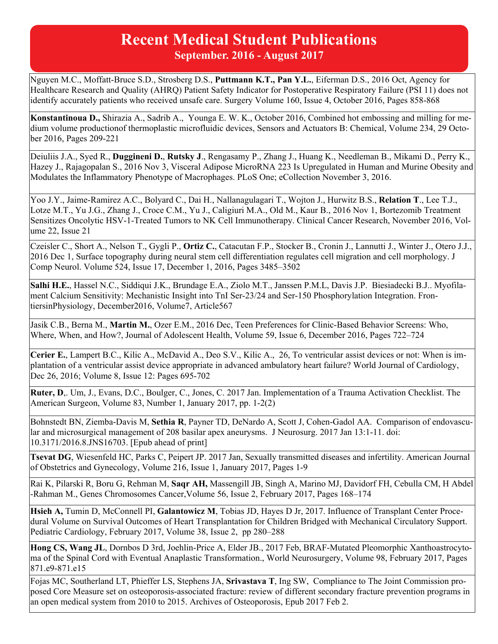### **Recent Medical Student Publications September. 2016 - August 2017**

Nguyen M.C., Moffatt-Bruce S.D., Strosberg D.S., **Puttmann K.T., Pan Y.L.**, Eiferman D.S., 2016 Oct, Agency for Healthcare Research and Quality (AHRQ) Patient Safety Indicator for Postoperative Respiratory Failure (PSI 11) does not identify accurately patients who received unsafe care. Surgery Volume 160, Issue 4, October 2016, Pages 858-868

**Konstantinoua D.,** Shirazia A., Sadrib A., Younga E. W. K., October 2016, Combined hot embossing and milling for medium volume productionof thermoplastic microfluidic devices, Sensors and Actuators B: Chemical, Volume 234, 29 October 2016, Pages 209-221

Deiuliis J.A., Syed R., **Duggineni D.**, **Rutsky J**., Rengasamy P., Zhang J., Huang K., Needleman B., Mikami D., Perry K., Hazey J., Rajagopalan S., 2016 Nov 3, Visceral Adipose MicroRNA 223 Is Upregulated in Human and Murine Obesity and Modulates the Inflammatory Phenotype of Macrophages. PLoS One; eCollection November 3, 2016.

Yoo J.Y., Jaime-Ramirez A.C., Bolyard C., Dai H., Nallanagulagari T., Wojton J., Hurwitz B.S., **Relation T**., Lee T.J., Lotze M.T., Yu J.G., Zhang J., Croce C.M., Yu J., Caligiuri M.A., Old M., Kaur B., 2016 Nov 1, Bortezomib Treatment Sensitizes Oncolytic HSV-1-Treated Tumors to NK Cell Immunotherapy. Clinical Cancer Research, November 2016, Volume 22, Issue 21

Czeisler C., Short A., Nelson T., Gygli P., **Ortiz C.**, Catacutan F.P., Stocker B., Cronin J., Lannutti J., Winter J., Otero J.J., 2016 Dec 1, Surface topography during neural stem cell differentiation regulates cell migration and cell morphology. J Comp Neurol. Volume 524, Issue 17, December 1, 2016, Pages 3485–3502

**Salhi H.E.**, Hassel N.C., Siddiqui J.K., Brundage E.A., Ziolo M.T., Janssen P.M.L, Davis J.P. Biesiadecki B.J.. Myofilament Calcium Sensitivity: Mechanistic Insight into TnI Ser-23/24 and Ser-150 Phosphorylation Integration. FrontiersinPhysiology, December2016, Volume7, Article567

Jasik C.B., Berna M., **Martin M.**, Ozer E.M., 2016 Dec, Teen Preferences for Clinic-Based Behavior Screens: Who, Where, When, and How?, Journal of Adolescent Health, Volume 59, Issue 6, December 2016, Pages 722–724

**Cerier E.**, Lampert B.C., Kilic A., McDavid A., Deo S.V., Kilic A., 26, To ventricular assist devices or not: When is implantation of a ventricular assist device appropriate in advanced ambulatory heart failure? World Journal of Cardiology, Dec 26, 2016; Volume 8, Issue 12: Pages 695-702

**Ruter, D**,. Um, J., Evans, D.C., Boulger, C., Jones, C. 2017 Jan. Implementation of a Trauma Activation Checklist. The American Surgeon, Volume 83, Number 1, January 2017, pp. 1-2(2)

Bohnstedt BN, Ziemba-Davis M, **Sethia R**, Payner TD, DeNardo A, Scott J, Cohen-Gadol AA. Comparison of endovascular and microsurgical management of 208 basilar apex aneurysms. J Neurosurg. 2017 Jan 13:1-11. doi: 10.3171/2016.8.JNS16703. [Epub ahead of print]

**Tsevat DG**, Wiesenfeld HC, Parks C, Peipert JP. 2017 Jan, Sexually transmitted diseases and infertility. American Journal of Obstetrics and Gynecology, Volume 216, Issue 1, January 2017, Pages 1-9

Rai K, Pilarski R, Boru G, Rehman M, **Saqr AH,** Massengill JB, Singh A, Marino MJ, Davidorf FH, Cebulla CM, H Abdel -Rahman M., Genes Chromosomes Cancer,Volume 56, Issue 2, February 2017, Pages 168–174

**Hsieh A,** Tumin D, McConnell PI, **Galantowicz M**, Tobias JD, Hayes D Jr, 2017. Influence of Transplant Center Procedural Volume on Survival Outcomes of Heart Transplantation for Children Bridged with Mechanical Circulatory Support. Pediatric Cardiology, February 2017, Volume 38, Issue 2, pp 280–288

**Hong CS, Wang JL**, Dornbos D 3rd, Joehlin-Price A, Elder JB., 2017 Feb, BRAF-Mutated Pleomorphic Xanthoastrocytoma of the Spinal Cord with Eventual Anaplastic Transformation., World Neurosurgery, Volume 98, February 2017, Pages 871.e9-871.e15

Fojas MC, Southerland LT, Phieffer LS, Stephens JA, **Srivastava T**, Ing SW, Compliance to The Joint Commission proposed Core Measure set on osteoporosis-associated fracture: review of different secondary fracture prevention programs in an open medical system from 2010 to 2015. Archives of Osteoporosis, Epub 2017 Feb 2.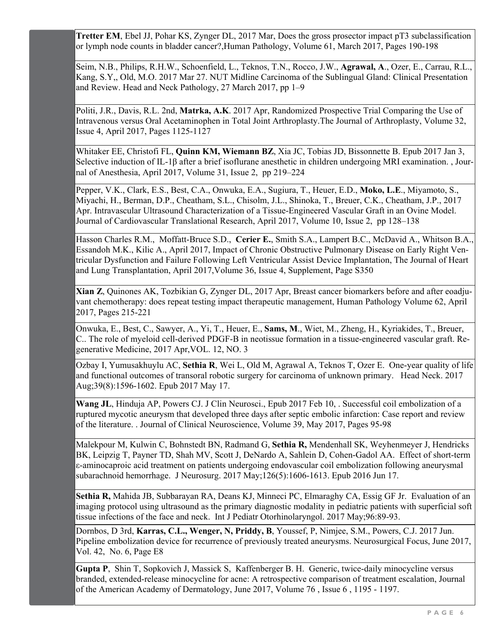**Tretter EM**, Ebel JJ, Pohar KS, Zynger DL, 2017 Mar, Does the gross prosector impact pT3 subclassification or lymph node counts in bladder cancer?,Human Pathology, Volume 61, March 2017, Pages 190-198

Seim, N.B., Philips, R.H.W., Schoenfield, L., Teknos, T.N., Rocco, J.W., **Agrawal, A**., Ozer, E., Carrau, R.L., Kang, S.Y,, Old, M.O. 2017 Mar 27. NUT Midline Carcinoma of the Sublingual Gland: Clinical Presentation and Review. Head and Neck Pathology, 27 March 2017, pp 1–9

Politi, J.R., Davis, R.L. 2nd, **Matrka, A.K**. 2017 Apr, Randomized Prospective Trial Comparing the Use of Intravenous versus Oral Acetaminophen in Total Joint Arthroplasty.The Journal of Arthroplasty, Volume 32, Issue 4, April 2017, Pages 1125-1127

Whitaker EE, Christofi FL, **Quinn KM, Wiemann BZ**, Xia JC, Tobias JD, Bissonnette B. Epub 2017 Jan 3, Selective induction of IL-1β after a brief isoflurane anesthetic in children undergoing MRI examination. , Journal of Anesthesia, April 2017, Volume 31, Issue 2, pp 219–224

Pepper, V.K., Clark, E.S., Best, C.A., Onwuka, E.A., Sugiura, T., Heuer, E.D., **Moko, L.E**., Miyamoto, S., Miyachi, H., Berman, D.P., Cheatham, S.L., Chisolm, J.L., Shinoka, T., Breuer, C.K., Cheatham, J.P., 2017 Apr. Intravascular Ultrasound Characterization of a Tissue-Engineered Vascular Graft in an Ovine Model. Journal of Cardiovascular Translational Research, April 2017, Volume 10, Issue 2, pp 128–138

Hasson Charles R.M., Moffatt-Bruce S.D., **Cerier E.**, Smith S.A., Lampert B.C., McDavid A., Whitson B.A., Essandoh M.K., Kilic A., April 2017, Impact of Chronic Obstructive Pulmonary Disease on Early Right Ventricular Dysfunction and Failure Following Left Ventricular Assist Device Implantation, The Journal of Heart and Lung Transplantation, April 2017,Volume 36, Issue 4, Supplement, Page S350

**Xian Z**, Quinones AK, Tozbikian G, Zynger DL, 2017 Apr, Breast cancer biomarkers before and after eoadjuvant chemotherapy: does repeat testing impact therapeutic management, Human Pathology Volume 62, April 2017, Pages 215-221

Onwuka, E., Best, C., Sawyer, A., Yi, T., Heuer, E., **Sams, M**., Wiet, M., Zheng, H., Kyriakides, T., Breuer, C.. The role of myeloid cell-derived PDGF-B in neotissue formation in a tissue-engineered vascular graft. Regenerative Medicine, 2017 Apr,VOL. 12, NO. 3

Ozbay I, Yumusakhuylu AC, **Sethia R**, Wei L, Old M, Agrawal A, Teknos T, Ozer E. One-year quality of life and functional outcomes of transoral robotic surgery for carcinoma of unknown primary. Head Neck. 2017 Aug;39(8):1596-1602. Epub 2017 May 17.

**Wang JL**, Hinduja AP, Powers CJ. J Clin Neurosci., Epub 2017 Feb 10, . Successful coil embolization of a ruptured mycotic aneurysm that developed three days after septic embolic infarction: Case report and review of the literature. . Journal of Clinical Neuroscience, Volume 39, May 2017, Pages 95-98

Malekpour M, Kulwin C, Bohnstedt BN, Radmand G, **Sethia R,** Mendenhall SK, Weyhenmeyer J, Hendricks BK, Leipzig T, Payner TD, Shah MV, Scott J, DeNardo A, Sahlein D, Cohen-Gadol AA. Effect of short-term ε-aminocaproic acid treatment on patients undergoing endovascular coil embolization following aneurysmal subarachnoid hemorrhage. J Neurosurg. 2017 May;126(5):1606-1613. Epub 2016 Jun 17.

**Sethia R,** Mahida JB, Subbarayan RA, Deans KJ, Minneci PC, Elmaraghy CA, Essig GF Jr. Evaluation of an imaging protocol using ultrasound as the primary diagnostic modality in pediatric patients with superficial soft tissue infections of the face and neck. Int J Pediatr Otorhinolaryngol. 2017 May;96:89-93.

Dornbos, D 3rd, **Karras, C.L., Wenger, N, Priddy, B**, Youssef, P, Nimjee, S.M., Powers, C.J. 2017 Jun. Pipeline embolization device for recurrence of previously treated aneurysms. Neurosurgical Focus, June 2017, Vol. 42, No. 6, Page E8

**Gupta P**, Shin T, Sopkovich J, Massick S, Kaffenberger B. H. Generic, twice-daily minocycline versus branded, extended-release minocycline for acne: A retrospective comparison of treatment escalation, Journal of the American Academy of Dermatology, June 2017, Volume 76 , Issue 6 , 1195 - 1197.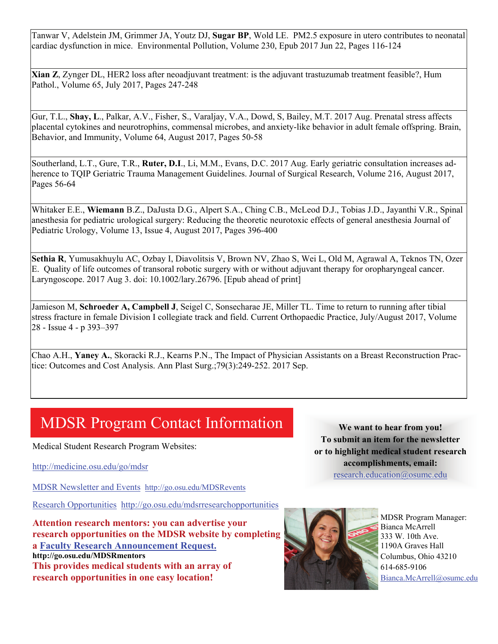Tanwar V, Adelstein JM, Grimmer JA, Youtz DJ, **Sugar BP**, Wold LE. PM2.5 exposure in utero contributes to neonatal cardiac dysfunction in mice. Environmental Pollution, Volume 230, Epub 2017 Jun 22, Pages 116-124

**Xian Z**, Zynger DL, HER2 loss after neoadjuvant treatment: is the adjuvant trastuzumab treatment feasible?, Hum Pathol., Volume 65, July 2017, Pages 247-248

Gur, T.L., **Shay, L**., Palkar, A.V., Fisher, S., Varaljay, V.A., Dowd, S, Bailey, M.T. 2017 Aug. Prenatal stress affects placental cytokines and neurotrophins, commensal microbes, and anxiety-like behavior in adult female offspring. Brain, Behavior, and Immunity, Volume 64, August 2017, Pages 50-58

Southerland, L.T., Gure, T.R., **Ruter, D.I**., Li, M.M., Evans, D.C. 2017 Aug. Early geriatric consultation increases adherence to TQIP Geriatric Trauma Management Guidelines. Journal of Surgical Research, Volume 216, August 2017, Pages 56-64

Whitaker E.E., **Wiemann** B.Z., DaJusta D.G., Alpert S.A., Ching C.B., McLeod D.J., Tobias J.D., Jayanthi V.R., Spinal anesthesia for pediatric urological surgery: Reducing the theoretic neurotoxic effects of general anesthesia Journal of Pediatric Urology, Volume 13, Issue 4, August 2017, Pages 396-400

**Sethia R**, Yumusakhuylu AC, Ozbay I, Diavolitsis V, Brown NV, Zhao S, Wei L, Old M, Agrawal A, Teknos TN, Ozer E. Quality of life outcomes of transoral robotic surgery with or without adjuvant therapy for oropharyngeal cancer. Laryngoscope. 2017 Aug 3. doi: 10.1002/lary.26796. [Epub ahead of print]

Jamieson M, **Schroeder A, Campbell J**, Seigel C, Sonsecharae JE, Miller TL. Time to return to running after tibial stress fracture in female Division I collegiate track and field. Current Orthopaedic Practice, July/August 2017, Volume 28 - Issue 4 - p 393–397

Chao A.H., **Yaney A.**, Skoracki R.J., Kearns P.N., The Impact of Physician Assistants on a Breast Reconstruction Practice: Outcomes and Cost Analysis. Ann Plast Surg.;79(3):249-252. 2017 Sep.

# MDSR Program Contact Information

Medical Student Research Program Websites:

[http://medicine.osu.edu/go/mdsr](https://medicine.osu.edu/go/mdsr) 

MDSR Newsletter and Events <http://go.osu.edu/MDSRevents>

[Research Opportunities](https://medicine.osu.edu/research_ed/medical_students/researchopportunities/pages/index.aspx)http://go.osu.edu/mdsrresearchopportunities

**Attention research mentors: you can advertise your research opportunities on the MDSR website by completing a [Faculty Research Announcement Request.](https://medicine.osu.edu/research_ed/MEDICAL_STUDENTS/RESEARCHOPPORTUNITIES/FACULTYREQ/Pages/index.aspx) http://go.osu.edu/MDSRmentors This provides medical students with an array of research opportunities in one easy location!** 

**We want to hear from you! To submit an item for the newsletter or to highlight medical student research accomplishments, email:** [research.education@osumc.edu](mailto:research.education@osumc.edu)



MDSR Program Manager: Bianca McArrell 333 W. 10th Ave. 1190A Graves Hall Columbus, Ohio 43210 614-685-9106 [Bianca.McArrell@osumc.edu](mailto:Bianca.mcarrell@osumc.edu)